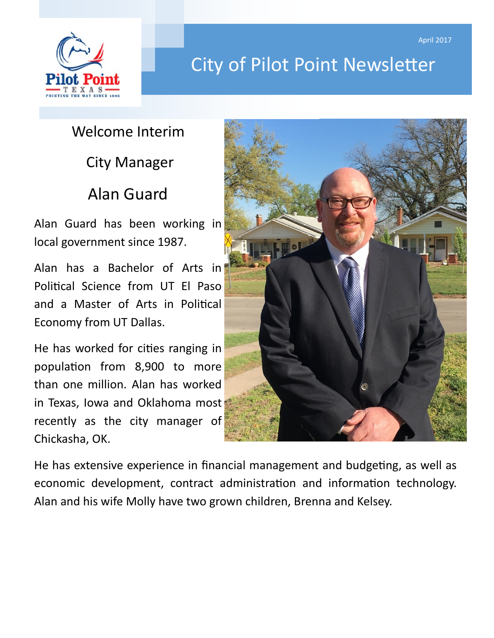

# City of Pilot Point Newsletter

# Welcome Interim

City Manager

## Alan Guard

Alan Guard has been working in local government since 1987.

Alan has a Bachelor of Arts in Political Science from UT El Paso and a Master of Arts in Political Economy from UT Dallas.

He has worked for cities ranging in population from 8,900 to more than one million. Alan has worked in Texas, Iowa and Oklahoma most recently as the city manager of Chickasha, OK.



He has extensive experience in financial management and budgeting, as well as economic development, contract administration and information technology. Alan and his wife Molly have two grown children, Brenna and Kelsey.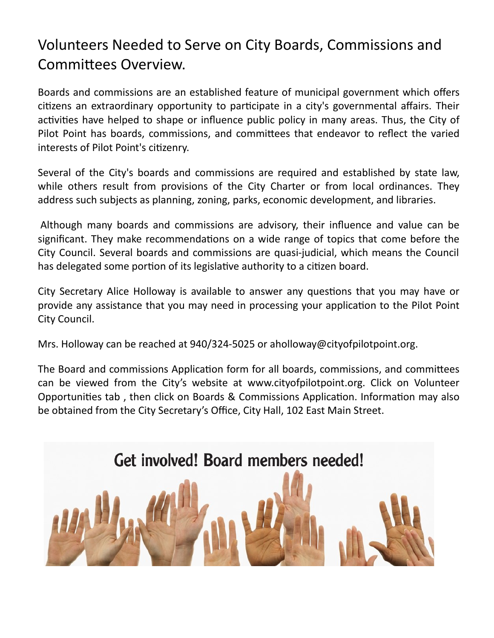## Volunteers Needed to Serve on City Boards, Commissions and Committees Overview.

Boards and commissions are an established feature of municipal government which offers citizens an extraordinary opportunity to participate in a city's governmental affairs. Their activities have helped to shape or influence public policy in many areas. Thus, the City of Pilot Point has boards, commissions, and committees that endeavor to reflect the varied interests of Pilot Point's citizenry.

Several of the City's boards and commissions are required and established by state law, while others result from provisions of the City Charter or from local ordinances. They address such subjects as planning, zoning, parks, economic development, and libraries.

Although many boards and commissions are advisory, their influence and value can be significant. They make recommendations on a wide range of topics that come before the City Council. Several boards and commissions are quasi-judicial, which means the Council has delegated some portion of its legislative authority to a citizen board.

City Secretary Alice Holloway is available to answer any questions that you may have or provide any assistance that you may need in processing your application to the Pilot Point City Council.

Mrs. Holloway can be reached at 940/324-5025 or aholloway@cityofpilotpoint.org.

The Board and commissions Application form for all boards, commissions, and committees can be viewed from the City's website at www.cityofpilotpoint.org. Click on Volunteer Opportunities tab , then click on Boards & Commissions Application. Information may also be obtained from the City Secretary's Office, City Hall, 102 East Main Street.

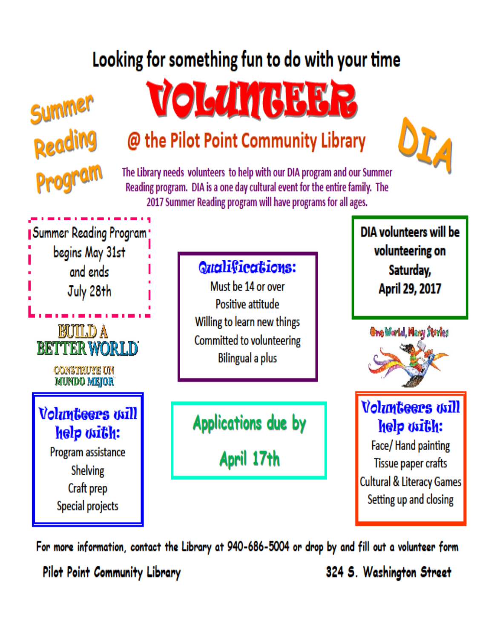# Looking for something fun to do with your time



# **VOLUMUEER**

# @ the Pilot Point Community Library



The Library needs volunteers to help with our DIA program and our Summer Reading program. DIA is a one day cultural event for the entire family. The 2017 Summer Reading program will have programs for all ages.

Summer Reading Program: begins May 31st and ends July 28th EUILD A **BETTER WORLD** CONSTRUYE UN **MUNDO MEJOR Volunteers** will help with:

> Program assistance **Shelving** Craft prep Special projects

## Qualifications:

Must be 14 or over Positive attitude Willing to learn new things **Committed to volunteering** Bilingual a plus

**Applications due by** 

April 17th

DIA volunteers will be volunteering on Saturday, April 29, 2017



**Volunteers** will help with:

Face/Hand painting Tissue paper crafts **Cultural & Literacy Games** Setting up and closing

For more information, contact the Library at 940-686-5004 or drop by and fill out a volunteer form

Pilot Point Community Library

324 S. Washington Street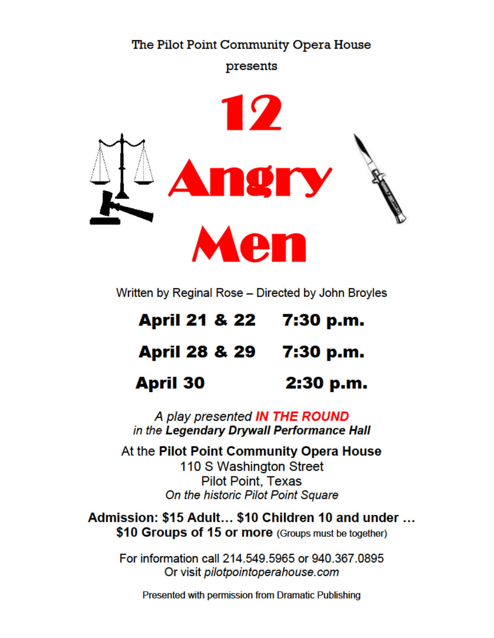### The Pilot Point Community Opera House

presents



Written by Reginal Rose - Directed by John Broyles

| April 21 & 22 7:30 p.m.  |           |
|--------------------------|-----------|
| <b>April 28 &amp; 29</b> | 7:30 p.m. |
| <b>April 30</b>          | 2:30 p.m. |

A play presented IN THE ROUND in the Legendary Drywall Performance Hall

At the Pilot Point Community Opera House 110 S Washington Street **Pilot Point, Texas** On the historic Pilot Point Square

Admission: \$15 Adult... \$10 Children 10 and under ... \$10 Groups of 15 or more (Groups must be together)

For information call 214.549.5965 or 940.367.0895 Or visit pilotpointoperahouse.com

Presented with permission from Dramatic Publishing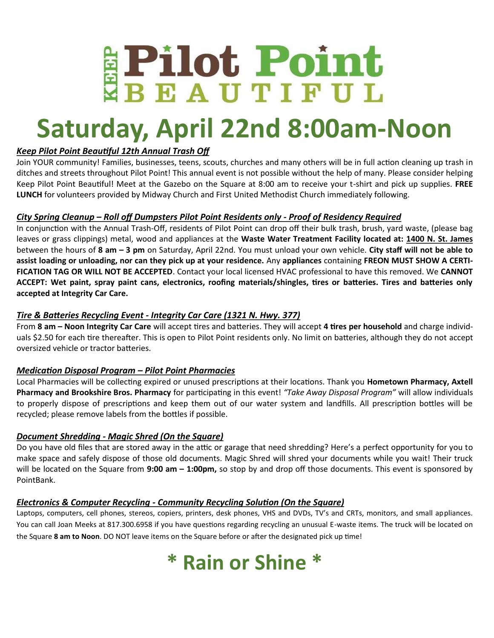# **EPilot Point**

# **Saturday, April 22nd 8:00am-Noon**

### *Keep Pilot Point Beautiful 12th Annual Trash Off*

Join YOUR community! Families, businesses, teens, scouts, churches and many others will be in full action cleaning up trash in ditches and streets throughout Pilot Point! This annual event is not possible without the help of many. Please consider helping Keep Pilot Point Beautiful! Meet at the Gazebo on the Square at 8:00 am to receive your t-shirt and pick up supplies. **FREE LUNCH** for volunteers provided by Midway Church and First United Methodist Church immediately following.

### *City Spring Cleanup – Roll off Dumpsters Pilot Point Residents only - Proof of Residency Required*

In conjunction with the Annual Trash-Off, residents of Pilot Point can drop off their bulk trash, brush, yard waste, (please bag leaves or grass clippings) metal, wood and appliances at the **Waste Water Treatment Facility located at: 1400 N. St. James** between the hours of **8 am – 3 pm** on Saturday, April 22nd. You must unload your own vehicle. **City staff will not be able to assist loading or unloading, nor can they pick up at your residence.** Any **appliances** containing **FREON MUST SHOW A CERTI-FICATION TAG OR WILL NOT BE ACCEPTED**. Contact your local licensed HVAC professional to have this removed. We **CANNOT ACCEPT: Wet paint, spray paint cans, electronics, roofing materials/shingles, tires or batteries. Tires and batteries only accepted at Integrity Car Care.** 

### *Tire & Batteries Recycling Event - Integrity Car Care (1321 N. Hwy. 377)*

From **8 am – Noon Integrity Car Care** will accept tires and batteries. They will accept **4 tires per household** and charge individuals \$2.50 for each tire thereafter. This is open to Pilot Point residents only. No limit on batteries, although they do not accept oversized vehicle or tractor batteries.

#### *Medication Disposal Program – Pilot Point Pharmacies*

Local Pharmacies will be collecting expired or unused prescriptions at their locations. Thank you **Hometown Pharmacy, Axtell Pharmacy and Brookshire Bros. Pharmacy** for participating in this event! *"Take Away Disposal Program"* will allow individuals to properly dispose of prescriptions and keep them out of our water system and landfills. All prescription bottles will be recycled; please remove labels from the bottles if possible.

### *Document Shredding - Magic Shred (On the Square)*

Do you have old files that are stored away in the attic or garage that need shredding? Here's a perfect opportunity for you to make space and safely dispose of those old documents. Magic Shred will shred your documents while you wait! Their truck will be located on the Square from **9:00 am – 1:00pm,** so stop by and drop off those documents. This event is sponsored by PointBank.

### *Electronics & Computer Recycling - Community Recycling Solution (On the Square)*

Laptops, computers, cell phones, stereos, copiers, printers, desk phones, VHS and DVDs, TV's and CRTs, monitors, and small appliances. You can call Joan Meeks at 817.300.6958 if you have questions regarding recycling an unusual E-waste items. The truck will be located on the Square **8 am to Noon**. DO NOT leave items on the Square before or after the designated pick up time!